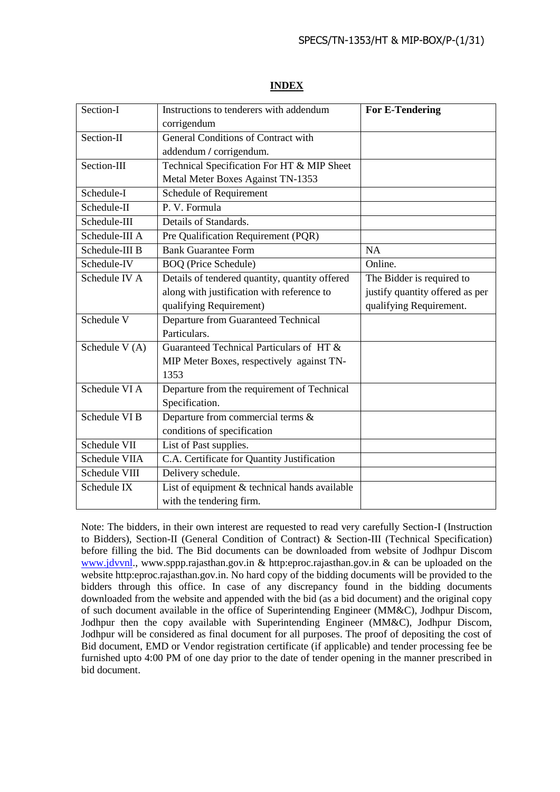| Section-I      | Instructions to tenderers with addendum        | <b>For E-Tendering</b>          |
|----------------|------------------------------------------------|---------------------------------|
|                | corrigendum                                    |                                 |
| Section-II     | <b>General Conditions of Contract with</b>     |                                 |
|                | addendum / corrigendum.                        |                                 |
| Section-III    | Technical Specification For HT & MIP Sheet     |                                 |
|                | Metal Meter Boxes Against TN-1353              |                                 |
| Schedule-I     | Schedule of Requirement                        |                                 |
| Schedule-II    | P. V. Formula                                  |                                 |
| Schedule-III   | Details of Standards.                          |                                 |
| Schedule-III A | Pre Qualification Requirement (PQR)            |                                 |
| Schedule-III B | <b>Bank Guarantee Form</b>                     | NA                              |
| Schedule-IV    | <b>BOQ</b> (Price Schedule)                    | Online.                         |
| Schedule IV A  | Details of tendered quantity, quantity offered | The Bidder is required to       |
|                | along with justification with reference to     | justify quantity offered as per |
|                | qualifying Requirement)                        | qualifying Requirement.         |
| Schedule V     | Departure from Guaranteed Technical            |                                 |
|                | Particulars.                                   |                                 |
| Schedule V (A) | Guaranteed Technical Particulars of HT &       |                                 |
|                | MIP Meter Boxes, respectively against TN-      |                                 |
|                | 1353                                           |                                 |
| Schedule VI A  | Departure from the requirement of Technical    |                                 |
|                | Specification.                                 |                                 |
| Schedule VI B  | Departure from commercial terms &              |                                 |
|                | conditions of specification                    |                                 |
| Schedule VII   | List of Past supplies.                         |                                 |
| Schedule VIIA  | C.A. Certificate for Quantity Justification    |                                 |
| Schedule VIII  | Delivery schedule.                             |                                 |
| Schedule IX    | List of equipment & technical hands available  |                                 |
|                | with the tendering firm.                       |                                 |

# **INDEX**

Note: The bidders, in their own interest are requested to read very carefully Section-I (Instruction to Bidders), Section-II (General Condition of Contract) & Section-III (Technical Specification) before filling the bid. The Bid documents can be downloaded from website of Jodhpur Discom [www.jdvvnl.](http://www.jdvvnl/), www.sppp.rajasthan.gov.in & http:eproc.rajasthan.gov.in & can be uploaded on the website http:eproc.rajasthan.gov.in. No hard copy of the bidding documents will be provided to the bidders through this office. In case of any discrepancy found in the bidding documents downloaded from the website and appended with the bid (as a bid document) and the original copy of such document available in the office of Superintending Engineer (MM&C), Jodhpur Discom, Jodhpur then the copy available with Superintending Engineer (MM&C), Jodhpur Discom, Jodhpur will be considered as final document for all purposes. The proof of depositing the cost of Bid document, EMD or Vendor registration certificate (if applicable) and tender processing fee be furnished upto 4:00 PM of one day prior to the date of tender opening in the manner prescribed in bid document.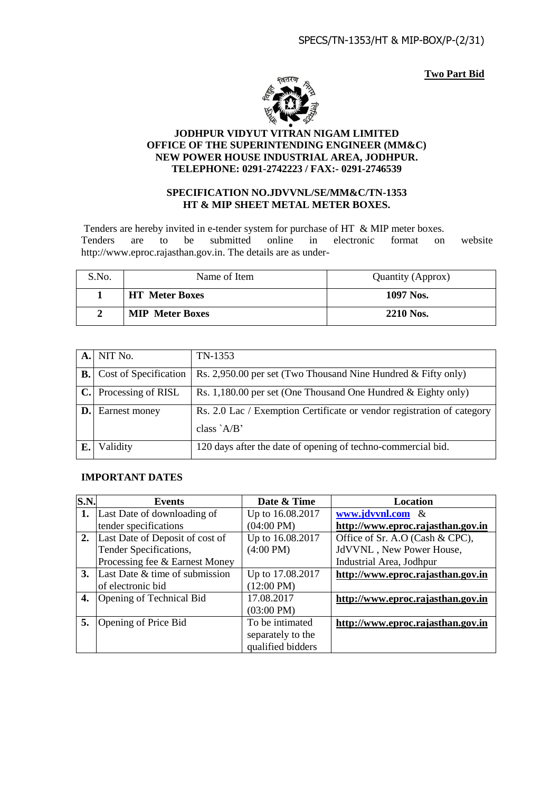**Two Part Bid**



#### **JODHPUR VIDYUT VITRAN NIGAM LIMITED OFFICE OF THE SUPERINTENDING ENGINEER (MM&C) NEW POWER HOUSE INDUSTRIAL AREA, JODHPUR. TELEPHONE: 0291-2742223 / FAX:- 0291-2746539**

#### **SPECIFICATION NO.JDVVNL/SE/MM&C/TN-1353 HT & MIP SHEET METAL METER BOXES.**

Tenders are hereby invited in e-tender system for purchase of HT & MIP meter boxes. Tenders are to be submitted online in electronic format on website http://www.eproc.rajasthan.gov.in. The details are as under-

| S.No. | Name of Item           | Quantity (Approx) |
|-------|------------------------|-------------------|
|       | <b>HT</b> Meter Boxes  | 1097 Nos.         |
|       | <b>MIP</b> Meter Boxes | 2210 Nos.         |

|                | A. NIT No.            | TN-1353                                                                |
|----------------|-----------------------|------------------------------------------------------------------------|
| B.             | Cost of Specification | Rs. 2,950.00 per set (Two Thousand Nine Hundred & Fifty only)          |
| C.             | Processing of RISL    | Rs. 1,180.00 per set (One Thousand One Hundred & Eighty only)          |
| $\mathbf{D}$ . | Earnest money         | Rs. 2.0 Lac / Exemption Certificate or vendor registration of category |
|                |                       | class $A/B'$                                                           |
|                | Validity              | 120 days after the date of opening of techno-commercial bid.           |

#### **IMPORTANT DATES**

| S.N. | Events                          | Date & Time          | Location                          |
|------|---------------------------------|----------------------|-----------------------------------|
| 1.   | Last Date of downloading of     | Up to 16.08.2017     | www.jdvvnl.com &                  |
|      | tender specifications           | $(04:00 \text{ PM})$ | http://www.eproc.rajasthan.gov.in |
| 2.   | Last Date of Deposit of cost of | Up to 16.08.2017     | Office of Sr. A.O (Cash & CPC),   |
|      | Tender Specifications,          | $(4:00 \text{ PM})$  | JdVVNL, New Power House,          |
|      | Processing fee & Earnest Money  |                      | Industrial Area, Jodhpur          |
| 3.   | Last Date & time of submission  | Up to 17.08.2017     | http://www.eproc.rajasthan.gov.in |
|      | of electronic bid               | $(12:00 \text{ PM})$ |                                   |
| 4.   | Opening of Technical Bid        | 17.08.2017           | http://www.eproc.rajasthan.gov.in |
|      |                                 | $(03:00 \text{ PM})$ |                                   |
| 5.   | Opening of Price Bid            | To be intimated      | http://www.eproc.rajasthan.gov.in |
|      |                                 | separately to the    |                                   |
|      |                                 | qualified bidders    |                                   |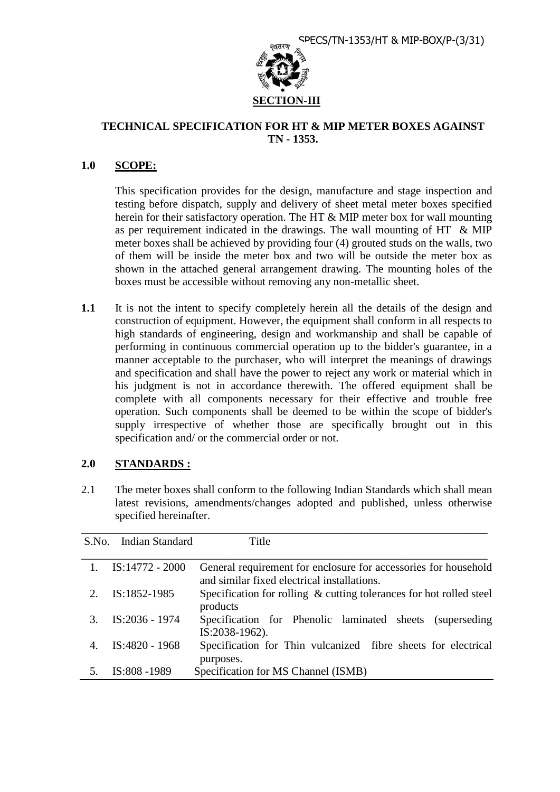

## **TECHNICAL SPECIFICATION FOR HT & MIP METER BOXES AGAINST TN - 1353.**

## **1.0 SCOPE:**

 This specification provides for the design, manufacture and stage inspection and testing before dispatch, supply and delivery of sheet metal meter boxes specified herein for their satisfactory operation. The HT & MIP meter box for wall mounting as per requirement indicated in the drawings. The wall mounting of HT & MIP meter boxes shall be achieved by providing four (4) grouted studs on the walls, two of them will be inside the meter box and two will be outside the meter box as shown in the attached general arrangement drawing. The mounting holes of the boxes must be accessible without removing any non-metallic sheet.

**1.1** It is not the intent to specify completely herein all the details of the design and construction of equipment. However, the equipment shall conform in all respects to high standards of engineering, design and workmanship and shall be capable of performing in continuous commercial operation up to the bidder's guarantee, in a manner acceptable to the purchaser, who will interpret the meanings of drawings and specification and shall have the power to reject any work or material which in his judgment is not in accordance therewith. The offered equipment shall be complete with all components necessary for their effective and trouble free operation. Such components shall be deemed to be within the scope of bidder's supply irrespective of whether those are specifically brought out in this specification and/ or the commercial order or not.

# **2.0 STANDARDS :**

2.1 The meter boxes shall conform to the following Indian Standards which shall mean latest revisions, amendments/changes adopted and published, unless otherwise specified hereinafter.

| S.No. Indian Standard | Title                                                                                                          |
|-----------------------|----------------------------------------------------------------------------------------------------------------|
|                       |                                                                                                                |
| $IS:14772 - 2000$     | General requirement for enclosure for accessories for household<br>and similar fixed electrical installations. |
| IS:1852-1985          | Specification for rolling & cutting tolerances for hot rolled steel<br>products                                |
| IS:2036 - 1974        | Specification for Phenolic laminated sheets (superseding<br>IS:2038-1962).                                     |
| IS:4820 - 1968        | Specification for Thin vulcanized fibre sheets for electrical<br>purposes.                                     |
| IS:808 -1989          | Specification for MS Channel (ISMB)                                                                            |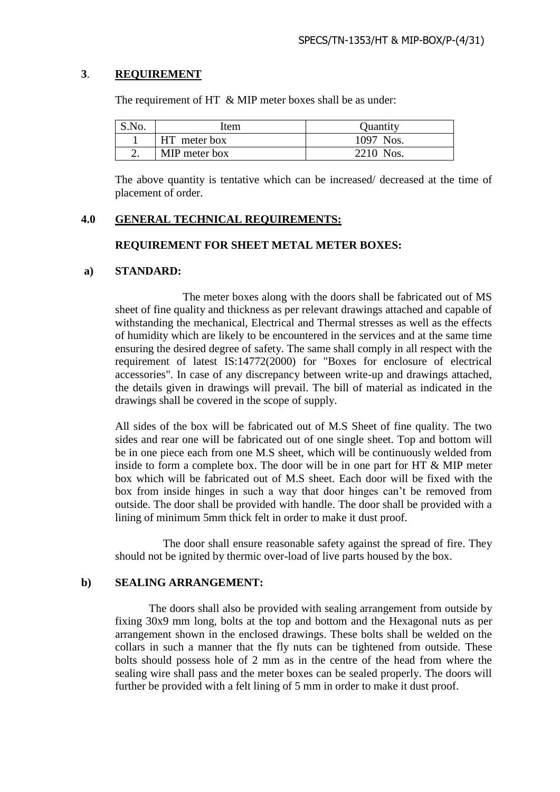# **3**. **REQUIREMENT**

The requirement of HT & MIP meter boxes shall be as under:

| S.No. | Item          | Quantity  |
|-------|---------------|-----------|
|       | HT meter box  | 1097 Nos. |
|       | MIP meter box | 2210 Nos. |

The above quantity is tentative which can be increased/ decreased at the time of placement of order.

## **4.0 GENERAL TECHNICAL REQUIREMENTS:**

### **REQUIREMENT FOR SHEET METAL METER BOXES:**

#### **a) STANDARD:**

 The meter boxes along with the doors shall be fabricated out of MS sheet of fine quality and thickness as per relevant drawings attached and capable of withstanding the mechanical, Electrical and Thermal stresses as well as the effects of humidity which are likely to be encountered in the services and at the same time ensuring the desired degree of safety. The same shall comply in all respect with the requirement of latest IS:14772(2000) for "Boxes for enclosure of electrical accessories". In case of any discrepancy between write-up and drawings attached, the details given in drawings will prevail. The bill of material as indicated in the drawings shall be covered in the scope of supply.

All sides of the box will be fabricated out of M.S Sheet of fine quality. The two sides and rear one will be fabricated out of one single sheet. Top and bottom will be in one piece each from one M.S sheet, which will be continuously welded from inside to form a complete box. The door will be in one part for HT & MIP meter box which will be fabricated out of M.S sheet. Each door will be fixed with the box from inside hinges in such a way that door hinges can't be removed from outside. The door shall be provided with handle. The door shall be provided with a lining of minimum 5mm thick felt in order to make it dust proof.

 The door shall ensure reasonable safety against the spread of fire. They should not be ignited by thermic over-load of live parts housed by the box.

## **b) SEALING ARRANGEMENT:**

 The doors shall also be provided with sealing arrangement from outside by fixing 30x9 mm long, bolts at the top and bottom and the Hexagonal nuts as per arrangement shown in the enclosed drawings. These bolts shall be welded on the collars in such a manner that the fly nuts can be tightened from outside. These bolts should possess hole of 2 mm as in the centre of the head from where the sealing wire shall pass and the meter boxes can be sealed properly. The doors will further be provided with a felt lining of 5 mm in order to make it dust proof.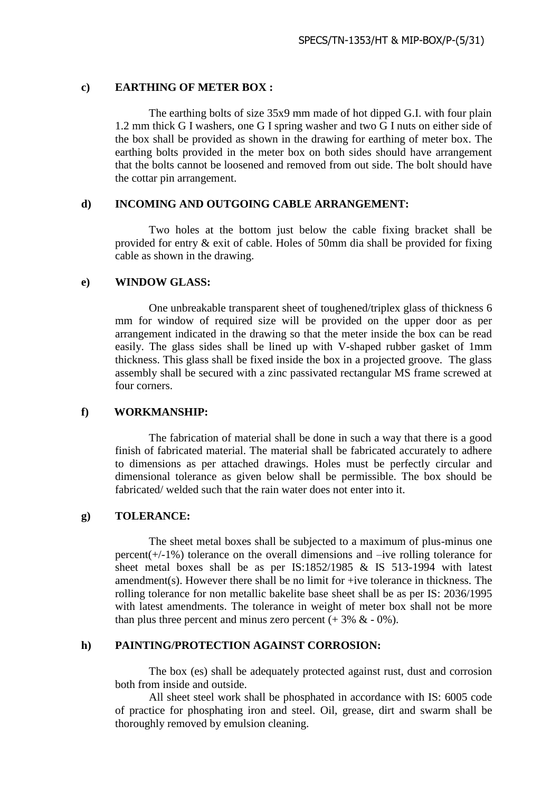#### **c) EARTHING OF METER BOX :**

The earthing bolts of size 35x9 mm made of hot dipped G.I. with four plain 1.2 mm thick G I washers, one G I spring washer and two G I nuts on either side of the box shall be provided as shown in the drawing for earthing of meter box. The earthing bolts provided in the meter box on both sides should have arrangement that the bolts cannot be loosened and removed from out side. The bolt should have the cottar pin arrangement.

### **d) INCOMING AND OUTGOING CABLE ARRANGEMENT:**

 Two holes at the bottom just below the cable fixing bracket shall be provided for entry & exit of cable. Holes of 50mm dia shall be provided for fixing cable as shown in the drawing.

#### **e) WINDOW GLASS:**

 One unbreakable transparent sheet of toughened/triplex glass of thickness 6 mm for window of required size will be provided on the upper door as per arrangement indicated in the drawing so that the meter inside the box can be read easily. The glass sides shall be lined up with V-shaped rubber gasket of 1mm thickness. This glass shall be fixed inside the box in a projected groove. The glass assembly shall be secured with a zinc passivated rectangular MS frame screwed at four corners.

## **f) WORKMANSHIP:**

 The fabrication of material shall be done in such a way that there is a good finish of fabricated material. The material shall be fabricated accurately to adhere to dimensions as per attached drawings. Holes must be perfectly circular and dimensional tolerance as given below shall be permissible. The box should be fabricated/ welded such that the rain water does not enter into it.

#### **g) TOLERANCE:**

The sheet metal boxes shall be subjected to a maximum of plus-minus one percent(+/-1%) tolerance on the overall dimensions and –ive rolling tolerance for sheet metal boxes shall be as per IS:1852/1985 & IS 513-1994 with latest amendment(s). However there shall be no limit for +ive tolerance in thickness. The rolling tolerance for non metallic bakelite base sheet shall be as per IS: 2036/1995 with latest amendments. The tolerance in weight of meter box shall not be more than plus three percent and minus zero percent  $(+3\% \& -0\%)$ .

### **h) PAINTING/PROTECTION AGAINST CORROSION:**

 The box (es) shall be adequately protected against rust, dust and corrosion both from inside and outside.

All sheet steel work shall be phosphated in accordance with IS: 6005 code of practice for phosphating iron and steel. Oil, grease, dirt and swarm shall be thoroughly removed by emulsion cleaning.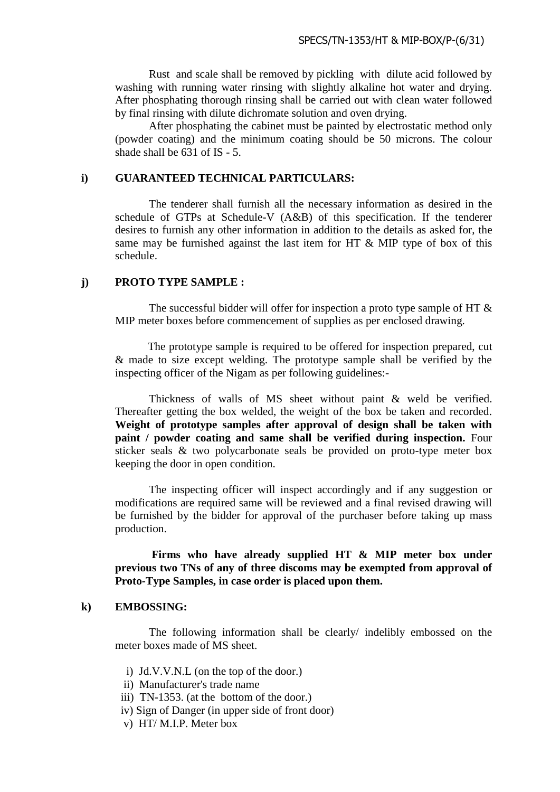Rust and scale shall be removed by pickling with dilute acid followed by washing with running water rinsing with slightly alkaline hot water and drving. After phosphating thorough rinsing shall be carried out with clean water followed by final rinsing with dilute dichromate solution and oven drying.

 After phosphating the cabinet must be painted by electrostatic method only (powder coating) and the minimum coating should be 50 microns. The colour shade shall be 631 of IS - 5.

#### **i) GUARANTEED TECHNICAL PARTICULARS:**

 The tenderer shall furnish all the necessary information as desired in the schedule of GTPs at Schedule-V (A&B) of this specification. If the tenderer desires to furnish any other information in addition to the details as asked for, the same may be furnished against the last item for HT  $\&$  MIP type of box of this schedule.

#### **j) PROTO TYPE SAMPLE :**

The successful bidder will offer for inspection a proto type sample of HT  $\&$ MIP meter boxes before commencement of supplies as per enclosed drawing.

The prototype sample is required to be offered for inspection prepared, cut & made to size except welding. The prototype sample shall be verified by the inspecting officer of the Nigam as per following guidelines:-

Thickness of walls of MS sheet without paint & weld be verified. Thereafter getting the box welded, the weight of the box be taken and recorded. **Weight of prototype samples after approval of design shall be taken with paint / powder coating and same shall be verified during inspection.** Four sticker seals & two polycarbonate seals be provided on proto-type meter box keeping the door in open condition.

The inspecting officer will inspect accordingly and if any suggestion or modifications are required same will be reviewed and a final revised drawing will be furnished by the bidder for approval of the purchaser before taking up mass production.

**Firms who have already supplied HT & MIP meter box under previous two TNs of any of three discoms may be exempted from approval of Proto-Type Samples, in case order is placed upon them.**

#### **k) EMBOSSING:**

 The following information shall be clearly/ indelibly embossed on the meter boxes made of MS sheet.

- i) Jd.V.V.N.L (on the top of the door.)
- ii) Manufacturer's trade name
- iii) TN-1353. (at the bottom of the door.)
- iv) Sign of Danger (in upper side of front door)
- v) HT/ M.I.P. Meter box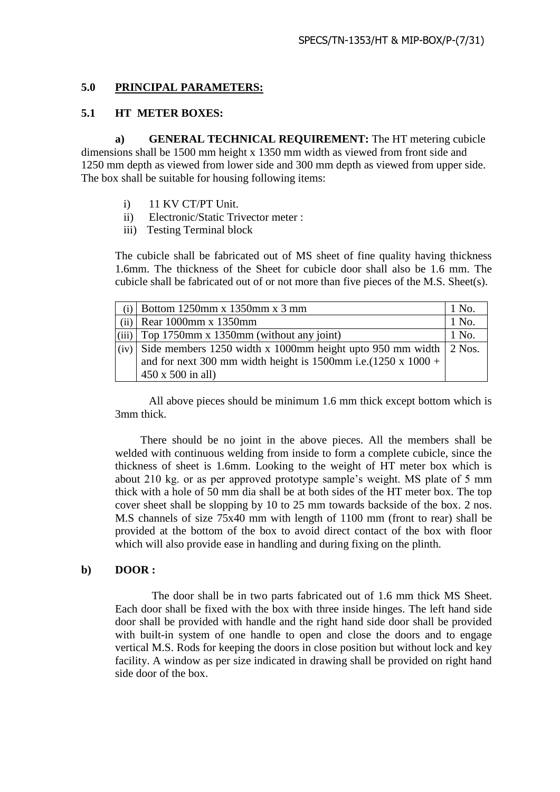## **5.0 PRINCIPAL PARAMETERS:**

## **5.1 HT METER BOXES:**

**a) GENERAL TECHNICAL REQUIREMENT:** The HT metering cubicle dimensions shall be 1500 mm height x 1350 mm width as viewed from front side and 1250 mm depth as viewed from lower side and 300 mm depth as viewed from upper side. The box shall be suitable for housing following items:

- i) 11 KV CT/PT Unit.
- ii) Electronic/Static Trivector meter :
- iii) Testing Terminal block

 The cubicle shall be fabricated out of MS sheet of fine quality having thickness 1.6mm. The thickness of the Sheet for cubicle door shall also be 1.6 mm. The cubicle shall be fabricated out of or not more than five pieces of the M.S. Sheet(s).

|       | Bottom 1250mm x 1350mm x 3 mm                                    | 1 No. |
|-------|------------------------------------------------------------------|-------|
| (ii)  | Rear 1000mm x 1350mm                                             | 1 No. |
| (iii) | Top 1750mm x 1350mm (without any joint)                          | 1 No. |
| (iv)  | Side members 1250 width x 1000mm height upto 950 mm width 2 Nos. |       |
|       | and for next 300 mm width height is 1500mm i.e.(1250 x 1000 +    |       |
|       | $450 \times 500$ in all)                                         |       |

 All above pieces should be minimum 1.6 mm thick except bottom which is 3mm thick.

 There should be no joint in the above pieces. All the members shall be welded with continuous welding from inside to form a complete cubicle, since the thickness of sheet is 1.6mm. Looking to the weight of HT meter box which is about 210 kg. or as per approved prototype sample's weight. MS plate of 5 mm thick with a hole of 50 mm dia shall be at both sides of the HT meter box. The top cover sheet shall be slopping by 10 to 25 mm towards backside of the box. 2 nos. M.S channels of size 75x40 mm with length of 1100 mm (front to rear) shall be provided at the bottom of the box to avoid direct contact of the box with floor which will also provide ease in handling and during fixing on the plinth.

# **b) DOOR :**

 The door shall be in two parts fabricated out of 1.6 mm thick MS Sheet. Each door shall be fixed with the box with three inside hinges. The left hand side door shall be provided with handle and the right hand side door shall be provided with built-in system of one handle to open and close the doors and to engage vertical M.S. Rods for keeping the doors in close position but without lock and key facility. A window as per size indicated in drawing shall be provided on right hand side door of the box.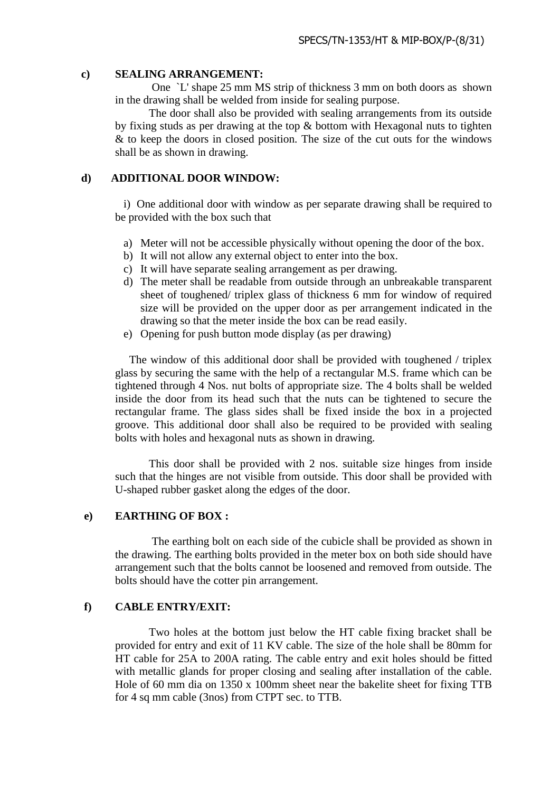### **c) SEALING ARRANGEMENT:**

One `L' shape 25 mm MS strip of thickness 3 mm on both doors as shown in the drawing shall be welded from inside for sealing purpose.

The door shall also be provided with sealing arrangements from its outside by fixing studs as per drawing at the top & bottom with Hexagonal nuts to tighten & to keep the doors in closed position. The size of the cut outs for the windows shall be as shown in drawing.

# **d) ADDITIONAL DOOR WINDOW:**

 i) One additional door with window as per separate drawing shall be required to be provided with the box such that

- a) Meter will not be accessible physically without opening the door of the box.
- b) It will not allow any external object to enter into the box.
- c) It will have separate sealing arrangement as per drawing.
- d) The meter shall be readable from outside through an unbreakable transparent sheet of toughened/ triplex glass of thickness 6 mm for window of required size will be provided on the upper door as per arrangement indicated in the drawing so that the meter inside the box can be read easily.
- e) Opening for push button mode display (as per drawing)

 The window of this additional door shall be provided with toughened / triplex glass by securing the same with the help of a rectangular M.S. frame which can be tightened through 4 Nos. nut bolts of appropriate size. The 4 bolts shall be welded inside the door from its head such that the nuts can be tightened to secure the rectangular frame. The glass sides shall be fixed inside the box in a projected groove. This additional door shall also be required to be provided with sealing bolts with holes and hexagonal nuts as shown in drawing.

 This door shall be provided with 2 nos. suitable size hinges from inside such that the hinges are not visible from outside. This door shall be provided with U-shaped rubber gasket along the edges of the door.

# **e) EARTHING OF BOX :**

 The earthing bolt on each side of the cubicle shall be provided as shown in the drawing. The earthing bolts provided in the meter box on both side should have arrangement such that the bolts cannot be loosened and removed from outside. The bolts should have the cotter pin arrangement.

## **f) CABLE ENTRY/EXIT:**

 Two holes at the bottom just below the HT cable fixing bracket shall be provided for entry and exit of 11 KV cable. The size of the hole shall be 80mm for HT cable for 25A to 200A rating. The cable entry and exit holes should be fitted with metallic glands for proper closing and sealing after installation of the cable. Hole of 60 mm dia on 1350 x 100mm sheet near the bakelite sheet for fixing TTB for 4 sq mm cable (3nos) from CTPT sec. to TTB.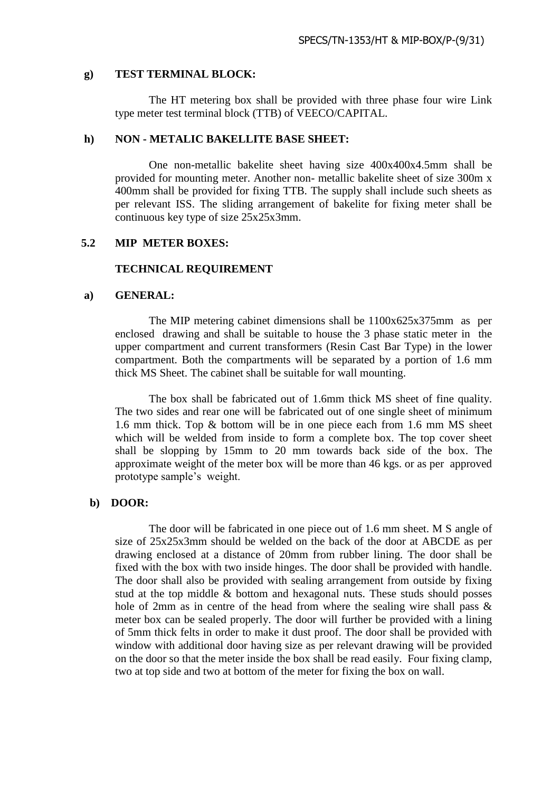#### **g) TEST TERMINAL BLOCK:**

 The HT metering box shall be provided with three phase four wire Link type meter test terminal block (TTB) of VEECO/CAPITAL.

#### **h) NON - METALIC BAKELLITE BASE SHEET:**

 One non-metallic bakelite sheet having size 400x400x4.5mm shall be provided for mounting meter. Another non- metallic bakelite sheet of size 300m x 400mm shall be provided for fixing TTB. The supply shall include such sheets as per relevant ISS. The sliding arrangement of bakelite for fixing meter shall be continuous key type of size 25x25x3mm.

## **5.2 MIP METER BOXES:**

#### **TECHNICAL REQUIREMENT**

#### **a) GENERAL:**

 The MIP metering cabinet dimensions shall be 1100x625x375mm as per enclosed drawing and shall be suitable to house the 3 phase static meter in the upper compartment and current transformers (Resin Cast Bar Type) in the lower compartment. Both the compartments will be separated by a portion of 1.6 mm thick MS Sheet. The cabinet shall be suitable for wall mounting.

 The box shall be fabricated out of 1.6mm thick MS sheet of fine quality. The two sides and rear one will be fabricated out of one single sheet of minimum 1.6 mm thick. Top & bottom will be in one piece each from 1.6 mm MS sheet which will be welded from inside to form a complete box. The top cover sheet shall be slopping by 15mm to 20 mm towards back side of the box. The approximate weight of the meter box will be more than 46 kgs. or as per approved prototype sample's weight.

#### **b) DOOR:**

 The door will be fabricated in one piece out of 1.6 mm sheet. M S angle of size of 25x25x3mm should be welded on the back of the door at ABCDE as per drawing enclosed at a distance of 20mm from rubber lining. The door shall be fixed with the box with two inside hinges. The door shall be provided with handle. The door shall also be provided with sealing arrangement from outside by fixing stud at the top middle & bottom and hexagonal nuts. These studs should posses hole of 2mm as in centre of the head from where the sealing wire shall pass & meter box can be sealed properly. The door will further be provided with a lining of 5mm thick felts in order to make it dust proof. The door shall be provided with window with additional door having size as per relevant drawing will be provided on the door so that the meter inside the box shall be read easily. Four fixing clamp, two at top side and two at bottom of the meter for fixing the box on wall.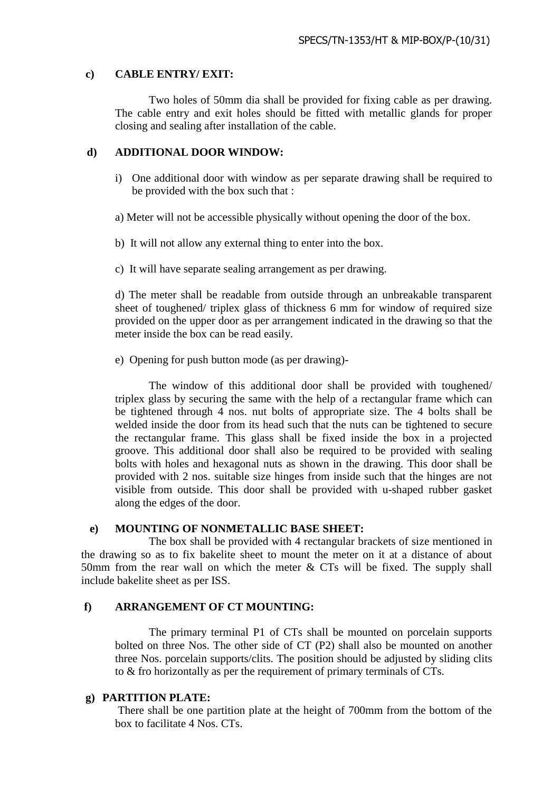#### **c) CABLE ENTRY/ EXIT:**

Two holes of 50mm dia shall be provided for fixing cable as per drawing. The cable entry and exit holes should be fitted with metallic glands for proper closing and sealing after installation of the cable.

#### **d) ADDITIONAL DOOR WINDOW:**

i) One additional door with window as per separate drawing shall be required to be provided with the box such that :

a) Meter will not be accessible physically without opening the door of the box.

- b) It will not allow any external thing to enter into the box.
- c) It will have separate sealing arrangement as per drawing.

 d) The meter shall be readable from outside through an unbreakable transparent sheet of toughened/ triplex glass of thickness 6 mm for window of required size provided on the upper door as per arrangement indicated in the drawing so that the meter inside the box can be read easily.

e) Opening for push button mode (as per drawing)-

 The window of this additional door shall be provided with toughened/ triplex glass by securing the same with the help of a rectangular frame which can be tightened through 4 nos. nut bolts of appropriate size. The 4 bolts shall be welded inside the door from its head such that the nuts can be tightened to secure the rectangular frame. This glass shall be fixed inside the box in a projected groove. This additional door shall also be required to be provided with sealing bolts with holes and hexagonal nuts as shown in the drawing. This door shall be provided with 2 nos. suitable size hinges from inside such that the hinges are not visible from outside. This door shall be provided with u-shaped rubber gasket along the edges of the door.

#### **e) MOUNTING OF NONMETALLIC BASE SHEET:**

The box shall be provided with 4 rectangular brackets of size mentioned in the drawing so as to fix bakelite sheet to mount the meter on it at a distance of about 50mm from the rear wall on which the meter  $& CTs$  will be fixed. The supply shall include bakelite sheet as per ISS.

### **f) ARRANGEMENT OF CT MOUNTING:**

 The primary terminal P1 of CTs shall be mounted on porcelain supports bolted on three Nos. The other side of CT (P2) shall also be mounted on another three Nos. porcelain supports/clits. The position should be adjusted by sliding clits to & fro horizontally as per the requirement of primary terminals of CTs.

#### **g) PARTITION PLATE:**

There shall be one partition plate at the height of 700mm from the bottom of the box to facilitate 4 Nos. CTs.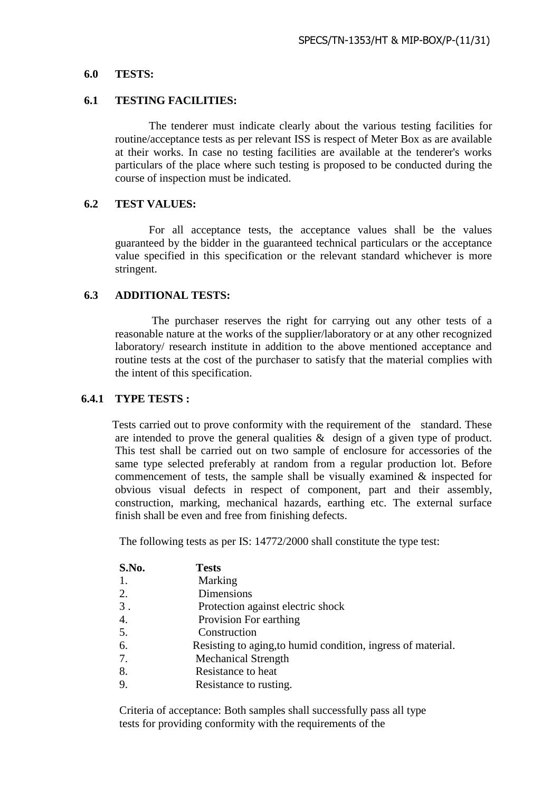#### **6.0 TESTS:**

#### **6.1 TESTING FACILITIES:**

The tenderer must indicate clearly about the various testing facilities for routine/acceptance tests as per relevant ISS is respect of Meter Box as are available at their works. In case no testing facilities are available at the tenderer's works particulars of the place where such testing is proposed to be conducted during the course of inspection must be indicated.

### **6.2 TEST VALUES:**

For all acceptance tests, the acceptance values shall be the values guaranteed by the bidder in the guaranteed technical particulars or the acceptance value specified in this specification or the relevant standard whichever is more stringent.

## **6.3 ADDITIONAL TESTS:**

The purchaser reserves the right for carrying out any other tests of a reasonable nature at the works of the supplier/laboratory or at any other recognized laboratory/ research institute in addition to the above mentioned acceptance and routine tests at the cost of the purchaser to satisfy that the material complies with the intent of this specification.

### **6.4.1 TYPE TESTS :**

 Tests carried out to prove conformity with the requirement of the standard. These are intended to prove the general qualities & design of a given type of product. This test shall be carried out on two sample of enclosure for accessories of the same type selected preferably at random from a regular production lot. Before commencement of tests, the sample shall be visually examined & inspected for obvious visual defects in respect of component, part and their assembly, construction, marking, mechanical hazards, earthing etc. The external surface finish shall be even and free from finishing defects.

The following tests as per IS: 14772/2000 shall constitute the type test:

| S.No. | <b>Tests</b>                                                 |
|-------|--------------------------------------------------------------|
| 1.    | Marking                                                      |
| 2.    | Dimensions                                                   |
| 3.    | Protection against electric shock                            |
| 4.    | Provision For earthing                                       |
| 5.    | Construction                                                 |
| 6.    | Resisting to aging, to humid condition, ingress of material. |
| 7.    | <b>Mechanical Strength</b>                                   |
| 8.    | Resistance to heat                                           |
| 9.    | Resistance to rusting.                                       |

Criteria of acceptance: Both samples shall successfully pass all type tests for providing conformity with the requirements of the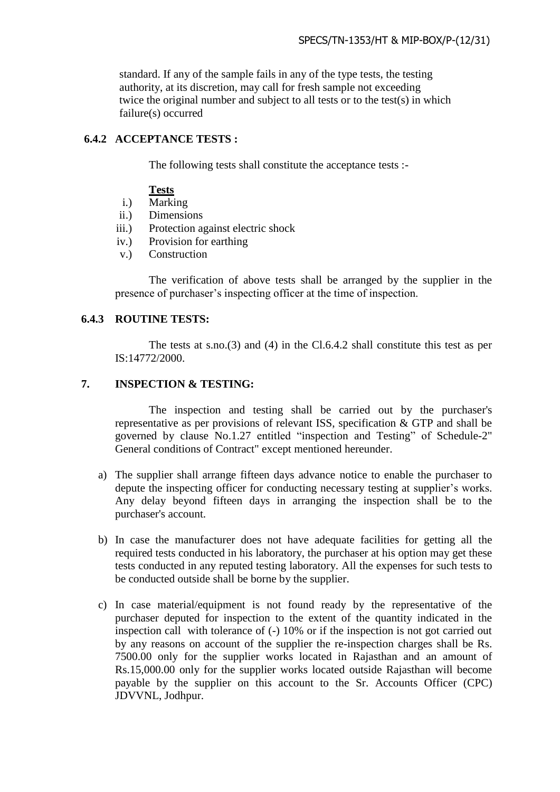standard. If any of the sample fails in any of the type tests, the testing authority, at its discretion, may call for fresh sample not exceeding twice the original number and subject to all tests or to the test(s) in which failure(s) occurred

## **6.4.2 ACCEPTANCE TESTS :**

The following tests shall constitute the acceptance tests :-

### **Tests**

- i.) Marking
- ii.) Dimensions
- iii.) Protection against electric shock
- iv.) Provision for earthing
- v.) Construction

The verification of above tests shall be arranged by the supplier in the presence of purchaser's inspecting officer at the time of inspection.

### **6.4.3 ROUTINE TESTS:**

The tests at s.no.(3) and (4) in the Cl.6.4.2 shall constitute this test as per IS:14772/2000.

### **7. INSPECTION & TESTING:**

 The inspection and testing shall be carried out by the purchaser's representative as per provisions of relevant ISS, specification & GTP and shall be governed by clause No.1.27 entitled "inspection and Testing" of Schedule-2" General conditions of Contract" except mentioned hereunder.

- a) The supplier shall arrange fifteen days advance notice to enable the purchaser to depute the inspecting officer for conducting necessary testing at supplier's works. Any delay beyond fifteen days in arranging the inspection shall be to the purchaser's account.
- b) In case the manufacturer does not have adequate facilities for getting all the required tests conducted in his laboratory, the purchaser at his option may get these tests conducted in any reputed testing laboratory. All the expenses for such tests to be conducted outside shall be borne by the supplier.
- c) In case material/equipment is not found ready by the representative of the purchaser deputed for inspection to the extent of the quantity indicated in the inspection call with tolerance of (-) 10% or if the inspection is not got carried out by any reasons on account of the supplier the re-inspection charges shall be Rs. 7500.00 only for the supplier works located in Rajasthan and an amount of Rs.15,000.00 only for the supplier works located outside Rajasthan will become payable by the supplier on this account to the Sr. Accounts Officer (CPC) JDVVNL, Jodhpur.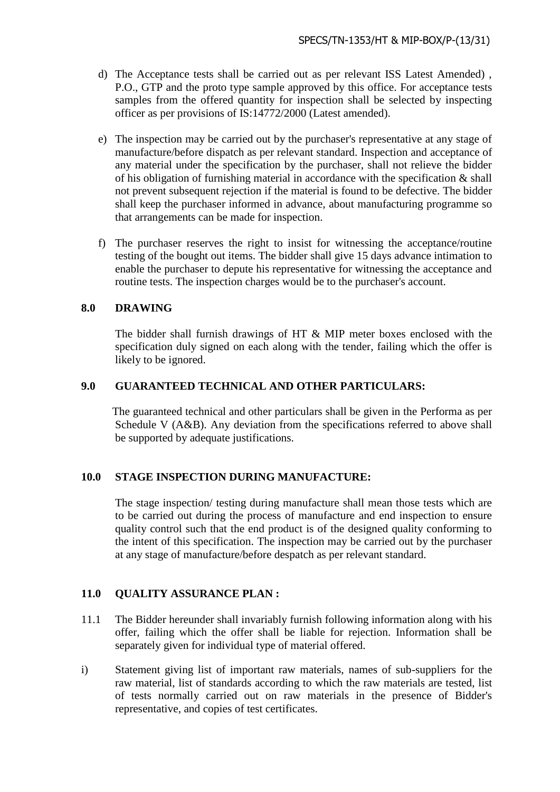- d) The Acceptance tests shall be carried out as per relevant ISS Latest Amended) , P.O., GTP and the proto type sample approved by this office. For acceptance tests samples from the offered quantity for inspection shall be selected by inspecting officer as per provisions of IS:14772/2000 (Latest amended).
- e) The inspection may be carried out by the purchaser's representative at any stage of manufacture/before dispatch as per relevant standard. Inspection and acceptance of any material under the specification by the purchaser, shall not relieve the bidder of his obligation of furnishing material in accordance with the specification & shall not prevent subsequent rejection if the material is found to be defective. The bidder shall keep the purchaser informed in advance, about manufacturing programme so that arrangements can be made for inspection.
- f) The purchaser reserves the right to insist for witnessing the acceptance/routine testing of the bought out items. The bidder shall give 15 days advance intimation to enable the purchaser to depute his representative for witnessing the acceptance and routine tests. The inspection charges would be to the purchaser's account.

## **8.0 DRAWING**

The bidder shall furnish drawings of HT & MIP meter boxes enclosed with the specification duly signed on each along with the tender, failing which the offer is likely to be ignored.

## **9.0 GUARANTEED TECHNICAL AND OTHER PARTICULARS:**

 The guaranteed technical and other particulars shall be given in the Performa as per Schedule V (A&B). Any deviation from the specifications referred to above shall be supported by adequate justifications.

# **10.0 STAGE INSPECTION DURING MANUFACTURE:**

The stage inspection/ testing during manufacture shall mean those tests which are to be carried out during the process of manufacture and end inspection to ensure quality control such that the end product is of the designed quality conforming to the intent of this specification. The inspection may be carried out by the purchaser at any stage of manufacture/before despatch as per relevant standard.

## **11.0 QUALITY ASSURANCE PLAN :**

- 11.1 The Bidder hereunder shall invariably furnish following information along with his offer, failing which the offer shall be liable for rejection. Information shall be separately given for individual type of material offered.
- i) Statement giving list of important raw materials, names of sub-suppliers for the raw material, list of standards according to which the raw materials are tested, list of tests normally carried out on raw materials in the presence of Bidder's representative, and copies of test certificates.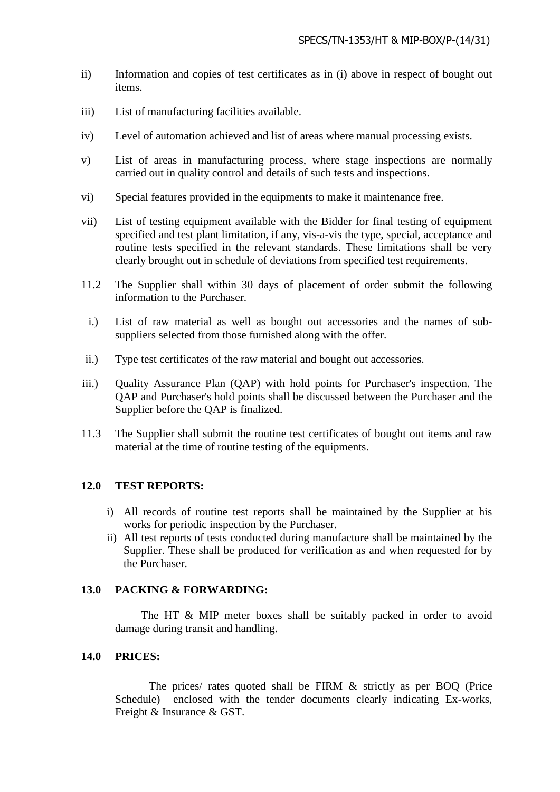- ii) Information and copies of test certificates as in (i) above in respect of bought out items.
- iii) List of manufacturing facilities available.
- iv) Level of automation achieved and list of areas where manual processing exists.
- v) List of areas in manufacturing process, where stage inspections are normally carried out in quality control and details of such tests and inspections.
- vi) Special features provided in the equipments to make it maintenance free.
- vii) List of testing equipment available with the Bidder for final testing of equipment specified and test plant limitation, if any, vis-a-vis the type, special, acceptance and routine tests specified in the relevant standards. These limitations shall be very clearly brought out in schedule of deviations from specified test requirements.
- 11.2 The Supplier shall within 30 days of placement of order submit the following information to the Purchaser.
- i.) List of raw material as well as bought out accessories and the names of subsuppliers selected from those furnished along with the offer.
- ii.) Type test certificates of the raw material and bought out accessories.
- iii.) Quality Assurance Plan (QAP) with hold points for Purchaser's inspection. The QAP and Purchaser's hold points shall be discussed between the Purchaser and the Supplier before the QAP is finalized.
- 11.3 The Supplier shall submit the routine test certificates of bought out items and raw material at the time of routine testing of the equipments.

# **12.0 TEST REPORTS:**

- i) All records of routine test reports shall be maintained by the Supplier at his works for periodic inspection by the Purchaser.
- ii) All test reports of tests conducted during manufacture shall be maintained by the Supplier. These shall be produced for verification as and when requested for by the Purchaser.

### **13.0 PACKING & FORWARDING:**

The HT & MIP meter boxes shall be suitably packed in order to avoid damage during transit and handling.

### **14.0 PRICES:**

The prices/ rates quoted shall be FIRM & strictly as per BOQ (Price Schedule) enclosed with the tender documents clearly indicating Ex-works, Freight & Insurance & GST.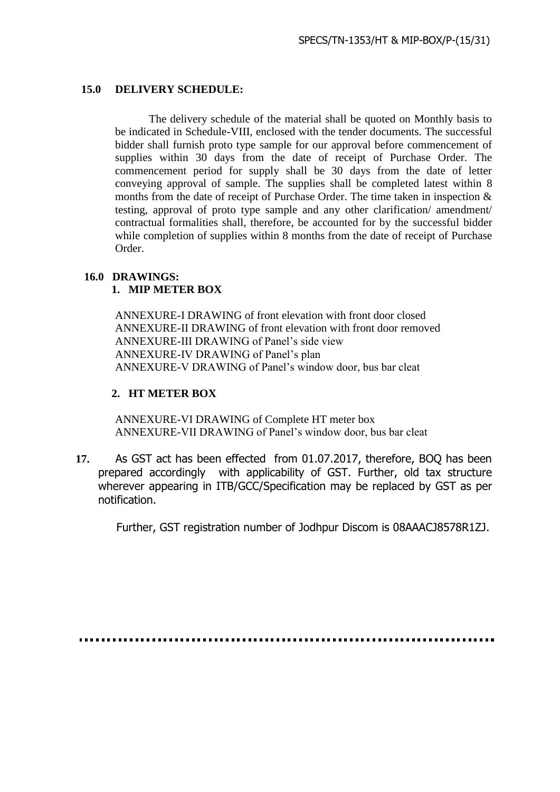## **15.0 DELIVERY SCHEDULE:**

The delivery schedule of the material shall be quoted on Monthly basis to be indicated in Schedule-VIII, enclosed with the tender documents. The successful bidder shall furnish proto type sample for our approval before commencement of supplies within 30 days from the date of receipt of Purchase Order. The commencement period for supply shall be 30 days from the date of letter conveying approval of sample. The supplies shall be completed latest within 8 months from the date of receipt of Purchase Order. The time taken in inspection & testing, approval of proto type sample and any other clarification/ amendment/ contractual formalities shall, therefore, be accounted for by the successful bidder while completion of supplies within 8 months from the date of receipt of Purchase Order.

# **16.0 DRAWINGS:**

# **1. MIP METER BOX**

ANNEXURE-I DRAWING of front elevation with front door closed ANNEXURE-II DRAWING of front elevation with front door removed ANNEXURE-III DRAWING of Panel's side view ANNEXURE-IV DRAWING of Panel's plan ANNEXURE-V DRAWING of Panel's window door, bus bar cleat

# **2. HT METER BOX**

ANNEXURE-VI DRAWING of Complete HT meter box ANNEXURE-VII DRAWING of Panel's window door, bus bar cleat

 **17.** As GST act has been effected from 01.07.2017, therefore, BOQ has been prepared accordingly with applicability of GST. Further, old tax structure wherever appearing in ITB/GCC/Specification may be replaced by GST as per notification.

Further, GST registration number of Jodhpur Discom is 08AAACJ8578R1ZJ.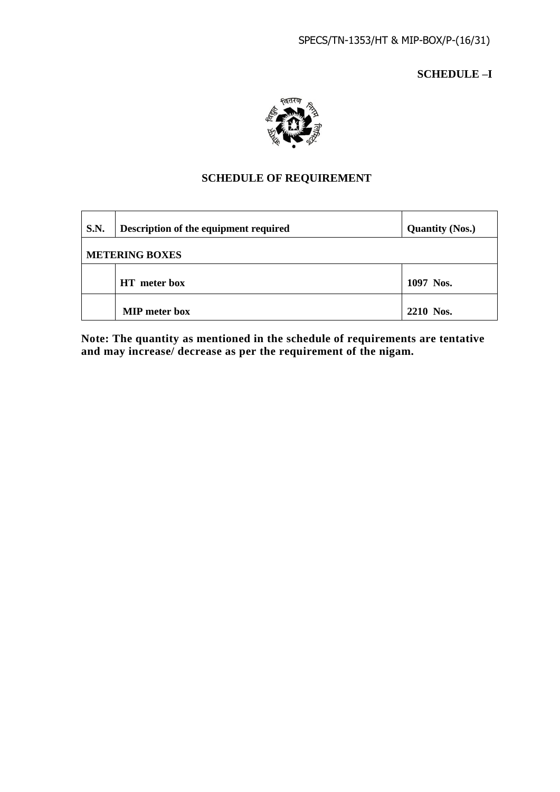**SCHEDULE –I**



# **SCHEDULE OF REQUIREMENT**

| <b>S.N.</b>           | Description of the equipment required | <b>Quantity (Nos.)</b> |
|-----------------------|---------------------------------------|------------------------|
| <b>METERING BOXES</b> |                                       |                        |
|                       | <b>HT</b> meter box                   | 1097 Nos.              |
|                       | <b>MIP</b> meter box                  | 2210 Nos.              |

**Note: The quantity as mentioned in the schedule of requirements are tentative and may increase/ decrease as per the requirement of the nigam.**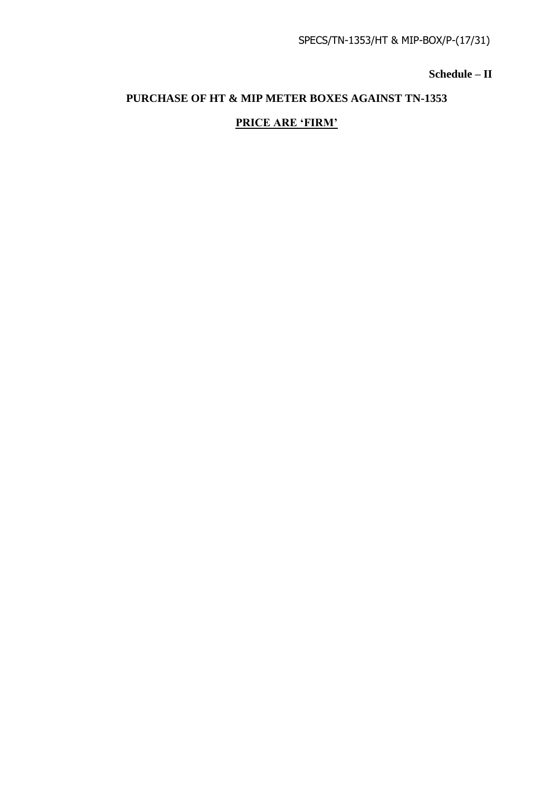**Schedule – II**

# **PURCHASE OF HT & MIP METER BOXES AGAINST TN-1353**

# **PRICE ARE 'FIRM'**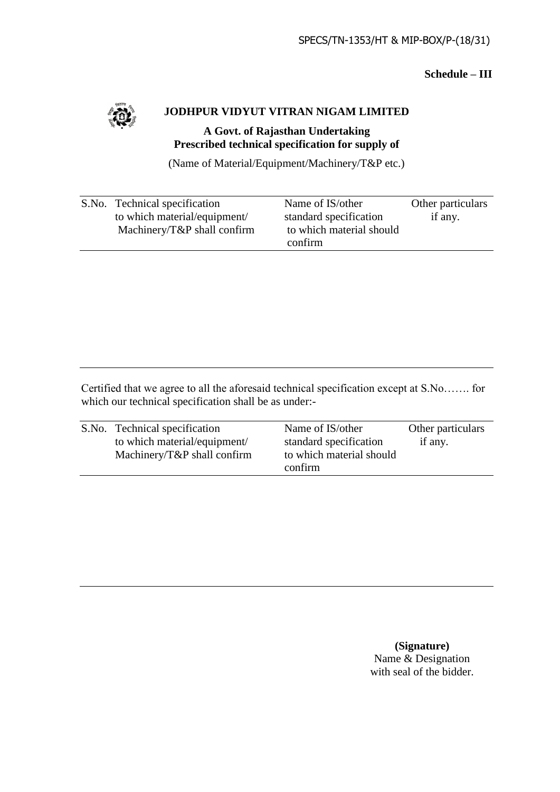# **Schedule – III**



# **JODHPUR VIDYUT VITRAN NIGAM LIMITED**

# **A Govt. of Rajasthan Undertaking Prescribed technical specification for supply of**

(Name of Material/Equipment/Machinery/T&P etc.)

| S.No. Technical specification | Name of IS/other         | Other particulars |
|-------------------------------|--------------------------|-------------------|
| to which material/equipment/  | standard specification   | if any.           |
| Machinery/T&P shall confirm   | to which material should |                   |
|                               | confirm                  |                   |

Certified that we agree to all the aforesaid technical specification except at S.No……. for which our technical specification shall be as under:-

| S.No. Technical specification | Name of IS/other         | Other particulars |
|-------------------------------|--------------------------|-------------------|
| to which material/equipment/  | standard specification   | if any.           |
| Machinery/T&P shall confirm   | to which material should |                   |
|                               | confirm                  |                   |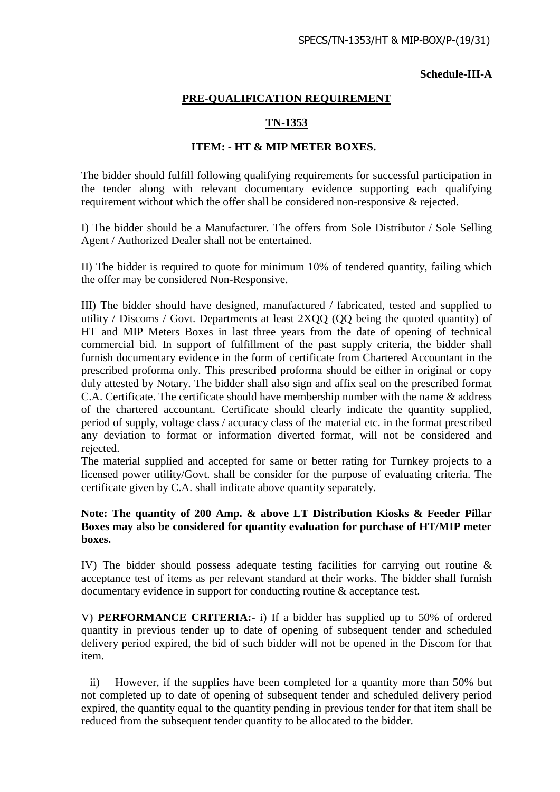### **Schedule-III-A**

## **PRE-QUALIFICATION REQUIREMENT**

# **TN-1353**

### **ITEM: - HT & MIP METER BOXES.**

The bidder should fulfill following qualifying requirements for successful participation in the tender along with relevant documentary evidence supporting each qualifying requirement without which the offer shall be considered non-responsive & rejected.

I) The bidder should be a Manufacturer. The offers from Sole Distributor / Sole Selling Agent / Authorized Dealer shall not be entertained.

II) The bidder is required to quote for minimum 10% of tendered quantity, failing which the offer may be considered Non-Responsive.

III) The bidder should have designed, manufactured / fabricated, tested and supplied to utility / Discoms / Govt. Departments at least 2XQQ (QQ being the quoted quantity) of HT and MIP Meters Boxes in last three years from the date of opening of technical commercial bid. In support of fulfillment of the past supply criteria, the bidder shall furnish documentary evidence in the form of certificate from Chartered Accountant in the prescribed proforma only. This prescribed proforma should be either in original or copy duly attested by Notary. The bidder shall also sign and affix seal on the prescribed format C.A. Certificate. The certificate should have membership number with the name & address of the chartered accountant. Certificate should clearly indicate the quantity supplied, period of supply, voltage class / accuracy class of the material etc. in the format prescribed any deviation to format or information diverted format, will not be considered and rejected.

The material supplied and accepted for same or better rating for Turnkey projects to a licensed power utility/Govt. shall be consider for the purpose of evaluating criteria. The certificate given by C.A. shall indicate above quantity separately.

## **Note: The quantity of 200 Amp. & above LT Distribution Kiosks & Feeder Pillar Boxes may also be considered for quantity evaluation for purchase of HT/MIP meter boxes.**

IV) The bidder should possess adequate testing facilities for carrying out routine & acceptance test of items as per relevant standard at their works. The bidder shall furnish documentary evidence in support for conducting routine & acceptance test.

V) **PERFORMANCE CRITERIA:-** i) If a bidder has supplied up to 50% of ordered quantity in previous tender up to date of opening of subsequent tender and scheduled delivery period expired, the bid of such bidder will not be opened in the Discom for that item.

ii) However, if the supplies have been completed for a quantity more than 50% but not completed up to date of opening of subsequent tender and scheduled delivery period expired, the quantity equal to the quantity pending in previous tender for that item shall be reduced from the subsequent tender quantity to be allocated to the bidder.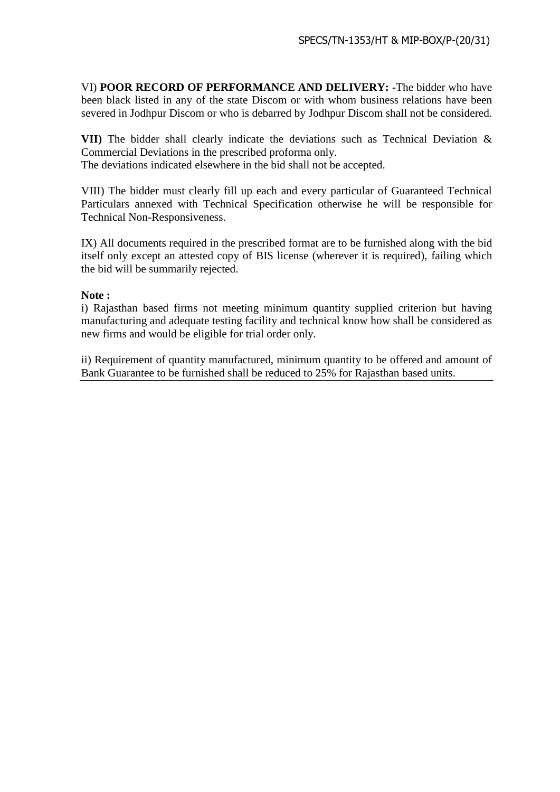VI) **POOR RECORD OF PERFORMANCE AND DELIVERY: -**The bidder who have been black listed in any of the state Discom or with whom business relations have been severed in Jodhpur Discom or who is debarred by Jodhpur Discom shall not be considered.

**VII)** The bidder shall clearly indicate the deviations such as Technical Deviation & Commercial Deviations in the prescribed proforma only.

The deviations indicated elsewhere in the bid shall not be accepted.

VIII) The bidder must clearly fill up each and every particular of Guaranteed Technical Particulars annexed with Technical Specification otherwise he will be responsible for Technical Non-Responsiveness.

IX) All documents required in the prescribed format are to be furnished along with the bid itself only except an attested copy of BIS license (wherever it is required), failing which the bid will be summarily rejected.

## **Note :**

i) Rajasthan based firms not meeting minimum quantity supplied criterion but having manufacturing and adequate testing facility and technical know how shall be considered as new firms and would be eligible for trial order only.

ii) Requirement of quantity manufactured, minimum quantity to be offered and amount of Bank Guarantee to be furnished shall be reduced to 25% for Rajasthan based units.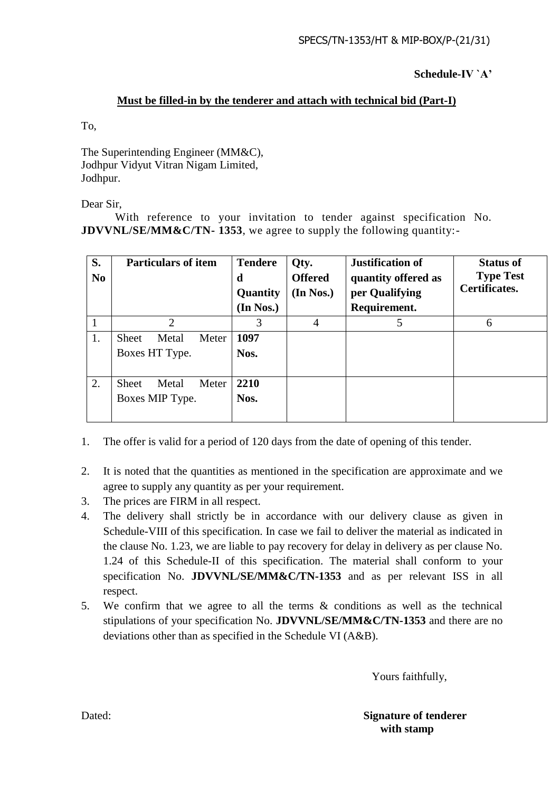**Schedule-IV `A'**

# **Must be filled-in by the tenderer and attach with technical bid (Part-I)**

To,

The Superintending Engineer (MM&C), Jodhpur Vidyut Vitran Nigam Limited, Jodhpur.

Dear Sir,

With reference to your invitation to tender against specification No. **JDVVNL/SE/MM&C/TN- 1353**, we agree to supply the following quantity:-

| S.<br>N <sub>0</sub> | <b>Particulars of item</b>     | <b>Tendere</b><br>d<br>Quantity<br>(In Nos.) | Qty.<br><b>Offered</b><br>(In Nos.) | <b>Justification of</b><br>quantity offered as<br>per Qualifying<br>Requirement. | <b>Status of</b><br><b>Type Test</b><br>Certificates. |
|----------------------|--------------------------------|----------------------------------------------|-------------------------------------|----------------------------------------------------------------------------------|-------------------------------------------------------|
|                      | $\overline{2}$                 | 3                                            | 4                                   | 5                                                                                | 6                                                     |
| 1.                   | Metal<br>Meter<br><b>Sheet</b> | 1097                                         |                                     |                                                                                  |                                                       |
|                      | Boxes HT Type.                 | Nos.                                         |                                     |                                                                                  |                                                       |
| 2.                   | Meter<br>Metal<br><b>Sheet</b> | 2210                                         |                                     |                                                                                  |                                                       |
|                      | Boxes MIP Type.                | Nos.                                         |                                     |                                                                                  |                                                       |

- 1. The offer is valid for a period of 120 days from the date of opening of this tender.
- 2. It is noted that the quantities as mentioned in the specification are approximate and we agree to supply any quantity as per your requirement.
- 3. The prices are FIRM in all respect.
- 4. The delivery shall strictly be in accordance with our delivery clause as given in Schedule-VIII of this specification. In case we fail to deliver the material as indicated in the clause No. 1.23, we are liable to pay recovery for delay in delivery as per clause No. 1.24 of this Schedule-II of this specification. The material shall conform to your specification No. **JDVVNL/SE/MM&C/TN-1353** and as per relevant ISS in all respect.
- 5. We confirm that we agree to all the terms & conditions as well as the technical stipulations of your specification No. **JDVVNL/SE/MM&C/TN-1353** and there are no deviations other than as specified in the Schedule VI (A&B).

Yours faithfully,

Dated: **Signature of tenderer with stamp**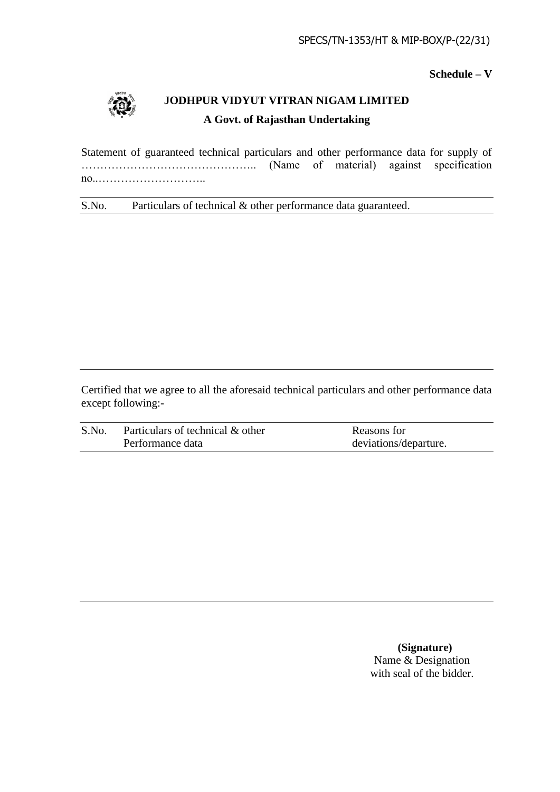**Schedule – V**



# **JODHPUR VIDYUT VITRAN NIGAM LIMITED A Govt. of Rajasthan Undertaking**

Statement of guaranteed technical particulars and other performance data for supply of ……………………………………….. (Name of material) against specification no..………………………..

S.No. Particulars of technical & other performance data guaranteed.

Certified that we agree to all the aforesaid technical particulars and other performance data except following:-

| S.No. | Particulars of technical & other | Reasons for           |
|-------|----------------------------------|-----------------------|
|       | Performance data                 | deviations/departure. |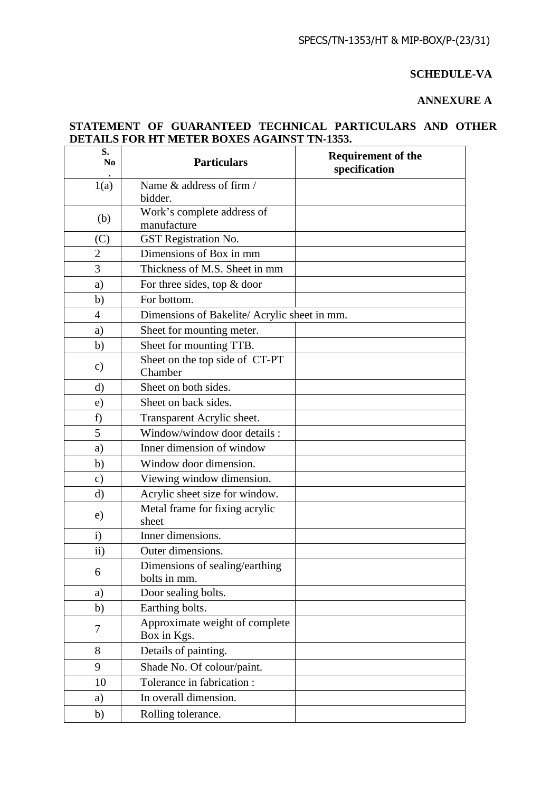## **SCHEDULE-VA**

# **ANNEXURE A**

# **STATEMENT OF GUARANTEED TECHNICAL PARTICULARS AND OTHER DETAILS FOR HT METER BOXES AGAINST TN-1353.**

| S.<br>No       | <b>Particulars</b>                             | <b>Requirement of the</b><br>specification |
|----------------|------------------------------------------------|--------------------------------------------|
| 1(a)           | Name & address of firm /<br>bidder.            |                                            |
| (b)            | Work's complete address of<br>manufacture      |                                            |
| (C)            | GST Registration No.                           |                                            |
| $\overline{2}$ | Dimensions of Box in mm                        |                                            |
| 3              | Thickness of M.S. Sheet in mm                  |                                            |
| a)             | For three sides, top $&$ door                  |                                            |
| b)             | For bottom.                                    |                                            |
| $\overline{4}$ | Dimensions of Bakelite/Acrylic sheet in mm.    |                                            |
| a)             | Sheet for mounting meter.                      |                                            |
| b)             | Sheet for mounting TTB.                        |                                            |
| $\mathbf{c})$  | Sheet on the top side of CT-PT<br>Chamber      |                                            |
| $\rm d$        | Sheet on both sides.                           |                                            |
| e)             | Sheet on back sides.                           |                                            |
| f)             | Transparent Acrylic sheet.                     |                                            |
| 5              | Window/window door details :                   |                                            |
| a)             | Inner dimension of window                      |                                            |
| b)             | Window door dimension.                         |                                            |
| $\mathbf{c})$  | Viewing window dimension.                      |                                            |
| $\mathbf{d}$   | Acrylic sheet size for window.                 |                                            |
| e)             | Metal frame for fixing acrylic<br>sheet        |                                            |
| $\mathbf{i}$   | Inner dimensions.                              |                                            |
| $\mathbf{ii}$  | Outer dimensions.                              |                                            |
| 6              | Dimensions of sealing/earthing<br>bolts in mm. |                                            |
| a)             | Door sealing bolts.                            |                                            |
| b)             | Earthing bolts.                                |                                            |
| 7              | Approximate weight of complete<br>Box in Kgs.  |                                            |
| 8              | Details of painting.                           |                                            |
| 9              | Shade No. Of colour/paint.                     |                                            |
| 10             | Tolerance in fabrication :                     |                                            |
| a)             | In overall dimension.                          |                                            |
| b)             | Rolling tolerance.                             |                                            |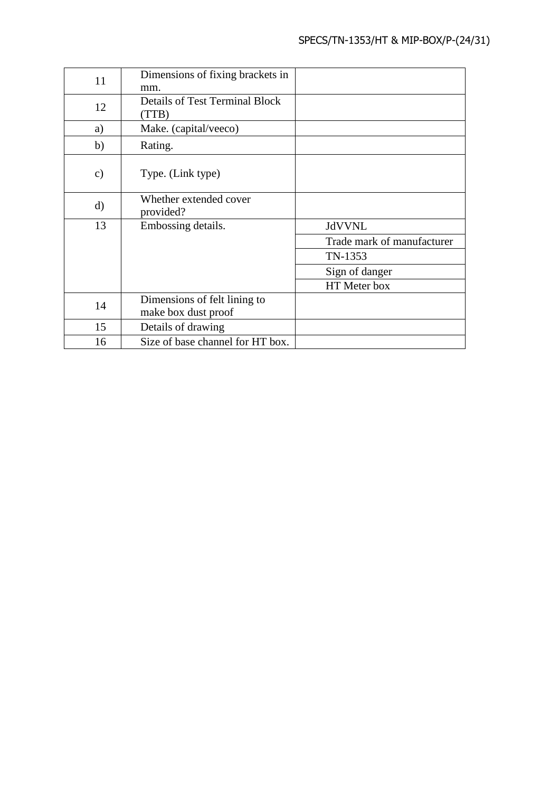| 11            | Dimensions of fixing brackets in<br>mm.             |                            |
|---------------|-----------------------------------------------------|----------------------------|
| 12            | <b>Details of Test Terminal Block</b><br>(TTB)      |                            |
| a)            | Make. (capital/veeco)                               |                            |
| b)            | Rating.                                             |                            |
| $\mathbf{c})$ | Type. (Link type)                                   |                            |
| $\mathbf{d}$  | Whether extended cover<br>provided?                 |                            |
| 13            | Embossing details.                                  | <b>JdVVNL</b>              |
|               |                                                     | Trade mark of manufacturer |
|               |                                                     | TN-1353                    |
|               |                                                     | Sign of danger             |
|               |                                                     | HT Meter box               |
| 14            | Dimensions of felt lining to<br>make box dust proof |                            |
| 15            | Details of drawing                                  |                            |
| 16            | Size of base channel for HT box.                    |                            |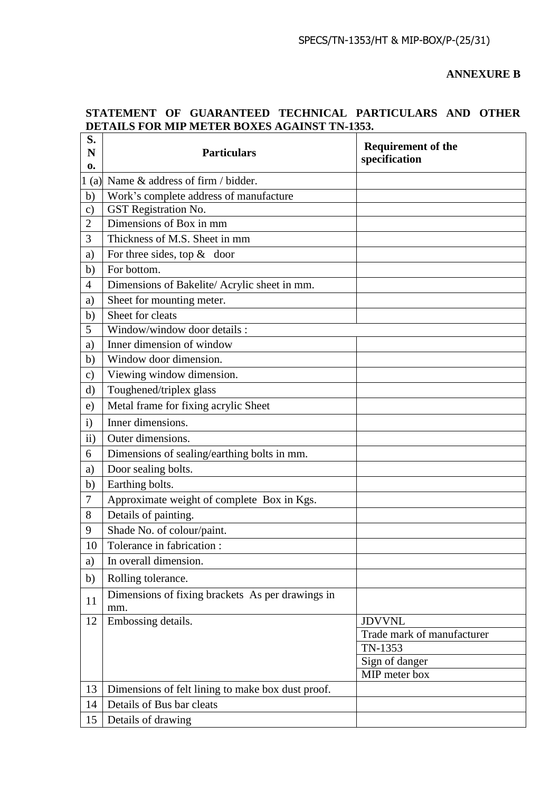**ANNEXURE B**

# **STATEMENT OF GUARANTEED TECHNICAL PARTICULARS AND OTHER DETAILS FOR MIP METER BOXES AGAINST TN-1353.**

| S.<br>N        | <b>Particulars</b>                                      | <b>Requirement of the</b><br>specification |
|----------------|---------------------------------------------------------|--------------------------------------------|
| 0.<br>1(a)     | Name & address of firm / bidder.                        |                                            |
| b)             | Work's complete address of manufacture                  |                                            |
| $\mathbf{c})$  | GST Registration No.                                    |                                            |
| $\overline{2}$ | Dimensions of Box in mm                                 |                                            |
| 3              | Thickness of M.S. Sheet in mm                           |                                            |
| a)             | For three sides, top $&$ door                           |                                            |
| b)             | For bottom.                                             |                                            |
| $\overline{4}$ | Dimensions of Bakelite/ Acrylic sheet in mm.            |                                            |
| a)             | Sheet for mounting meter.                               |                                            |
| $\mathbf b)$   | Sheet for cleats                                        |                                            |
| 5              | Window/window door details :                            |                                            |
| a)             | Inner dimension of window                               |                                            |
| b)             | Window door dimension.                                  |                                            |
| $\mathbf{c})$  | Viewing window dimension.                               |                                            |
| d)             | Toughened/triplex glass                                 |                                            |
| e)             | Metal frame for fixing acrylic Sheet                    |                                            |
| $\mathbf{i}$   | Inner dimensions.                                       |                                            |
| $\rm ii)$      | Outer dimensions.                                       |                                            |
| 6              | Dimensions of sealing/earthing bolts in mm.             |                                            |
| a)             | Door sealing bolts.                                     |                                            |
| b)             | Earthing bolts.                                         |                                            |
| $\tau$         | Approximate weight of complete Box in Kgs.              |                                            |
| 8              | Details of painting.                                    |                                            |
| 9              | Shade No. of colour/paint.                              |                                            |
| 10             | Tolerance in fabrication :                              |                                            |
| a)             | In overall dimension.                                   |                                            |
| b)             | Rolling tolerance.                                      |                                            |
| 11             | Dimensions of fixing brackets As per drawings in<br>mm. |                                            |
| 12             | Embossing details.                                      | <b>JDVVNL</b>                              |
|                |                                                         | Trade mark of manufacturer                 |
|                |                                                         | TN-1353                                    |
|                |                                                         | Sign of danger<br>MIP meter box            |
| 13             | Dimensions of felt lining to make box dust proof.       |                                            |
| 14             | Details of Bus bar cleats                               |                                            |
| 15             | Details of drawing                                      |                                            |
|                |                                                         |                                            |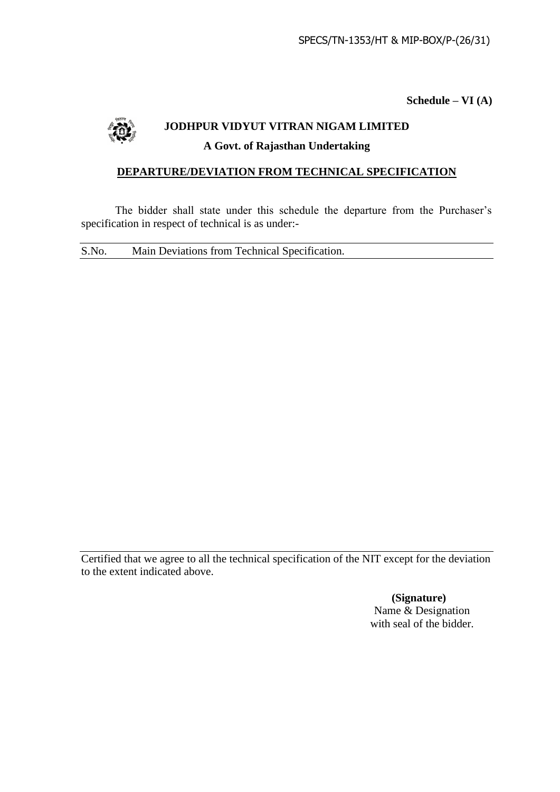**Schedule – VI (A)**



# **JODHPUR VIDYUT VITRAN NIGAM LIMITED A Govt. of Rajasthan Undertaking**

# **DEPARTURE/DEVIATION FROM TECHNICAL SPECIFICATION**

The bidder shall state under this schedule the departure from the Purchaser's specification in respect of technical is as under:-

S.No. Main Deviations from Technical Specification.

Certified that we agree to all the technical specification of the NIT except for the deviation to the extent indicated above.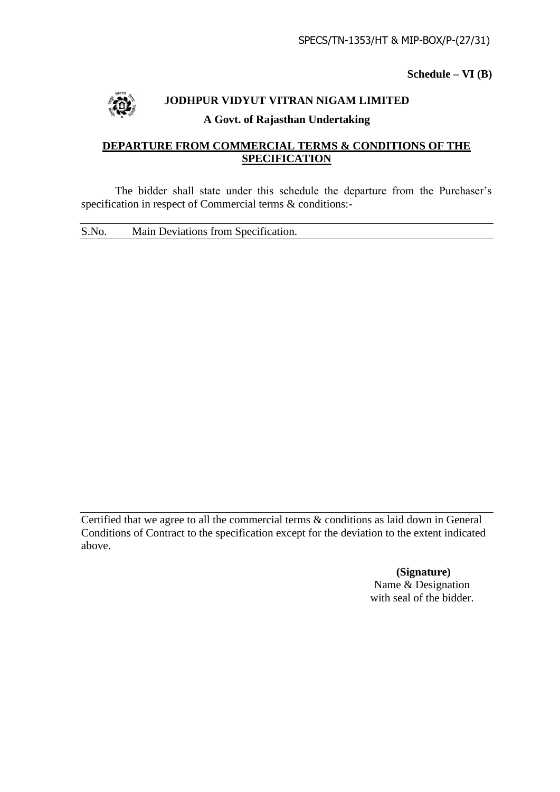**Schedule – VI (B)**



# **JODHPUR VIDYUT VITRAN NIGAM LIMITED A Govt. of Rajasthan Undertaking**

# **DEPARTURE FROM COMMERCIAL TERMS & CONDITIONS OF THE SPECIFICATION**

The bidder shall state under this schedule the departure from the Purchaser's specification in respect of Commercial terms & conditions:-

S.No. Main Deviations from Specification.

Certified that we agree to all the commercial terms & conditions as laid down in General Conditions of Contract to the specification except for the deviation to the extent indicated above.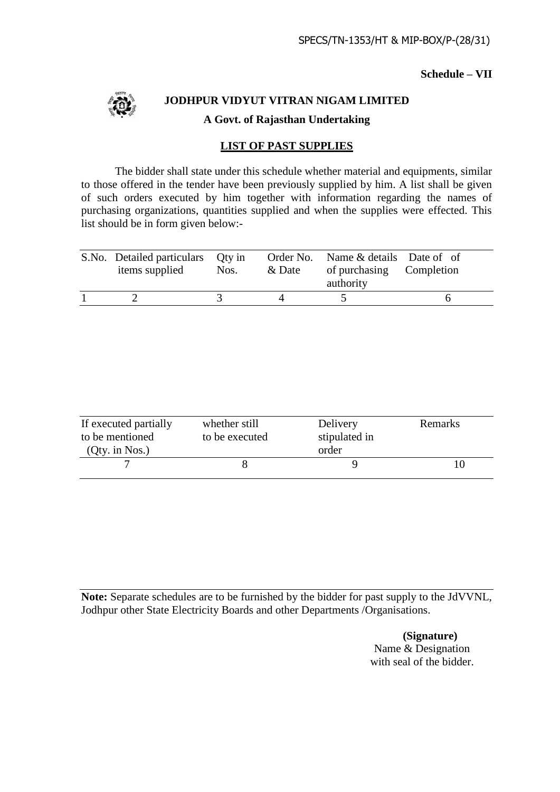## **Schedule – VII**



**JODHPUR VIDYUT VITRAN NIGAM LIMITED A Govt. of Rajasthan Undertaking**

# **LIST OF PAST SUPPLIES**

The bidder shall state under this schedule whether material and equipments, similar to those offered in the tender have been previously supplied by him. A list shall be given of such orders executed by him together with information regarding the names of purchasing organizations, quantities supplied and when the supplies were effected. This list should be in form given below:-

| S.No. Detailed particulars Qty in<br>items supplied | Nos. | & Date | Order No. Name & details Date of of<br>of purchasing Completion<br>authority |  |
|-----------------------------------------------------|------|--------|------------------------------------------------------------------------------|--|
|                                                     |      |        |                                                                              |  |

| If executed partially<br>whether still<br>to be mentioned<br>to be executed<br>(Qty. in Nos.) |  | Delivery<br>stipulated in<br>order | Remarks |
|-----------------------------------------------------------------------------------------------|--|------------------------------------|---------|
|                                                                                               |  |                                    |         |

**Note:** Separate schedules are to be furnished by the bidder for past supply to the JdVVNL, Jodhpur other State Electricity Boards and other Departments /Organisations.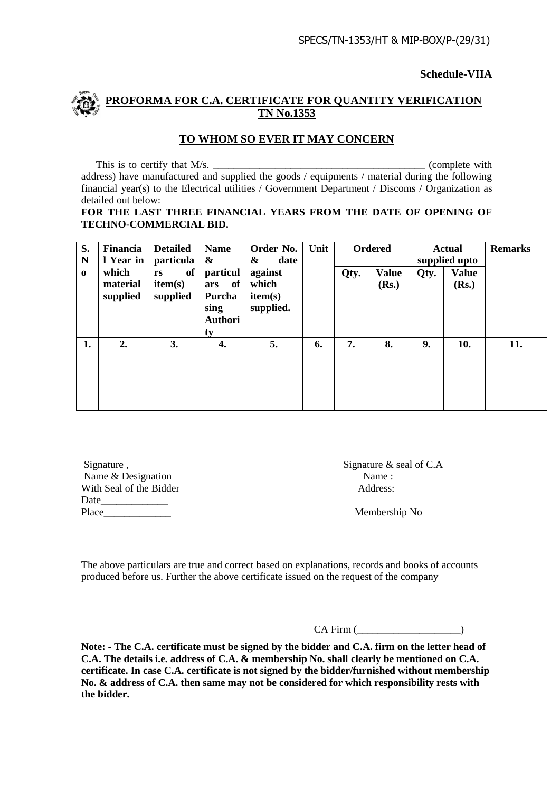**Schedule-VIIA**

# **PROFORMA FOR C.A. CERTIFICATE FOR QUANTITY VERIFICATION TN No.1353**

# **TO WHOM SO EVER IT MAY CONCERN**

This is to certify that M/s. \_\_\_\_\_\_\_\_\_\_\_\_\_\_\_\_\_\_\_\_\_\_\_\_\_\_\_\_\_\_\_\_\_\_\_\_\_\_\_\_\_ (complete with address) have manufactured and supplied the goods / equipments / material during the following financial year(s) to the Electrical utilities / Government Department / Discoms / Organization as detailed out below:

#### **FOR THE LAST THREE FINANCIAL YEARS FROM THE DATE OF OPENING OF TECHNO-COMMERCIAL BID.**

| S.<br>N  | Financia<br>I Year in         | <b>Detailed</b><br>particula    | <b>Name</b><br>&                                                | Order No.<br>date<br>&                   | Unit |      | <b>Ordered</b>        |      | <b>Actual</b><br>supplied upto | <b>Remarks</b> |
|----------|-------------------------------|---------------------------------|-----------------------------------------------------------------|------------------------------------------|------|------|-----------------------|------|--------------------------------|----------------|
| $\bf{0}$ | which<br>material<br>supplied | of<br>rs<br>item(s)<br>supplied | particul<br>of<br>ars<br>Purcha<br>sing<br><b>Authori</b><br>ty | against<br>which<br>item(s)<br>supplied. |      | Qty. | <b>Value</b><br>(Rs.) | Qty. | <b>Value</b><br>(Rs.)          |                |
| 1.       | 2.                            | 3.                              | 4.                                                              | 5.                                       | 6.   | 7.   | 8.                    | 9.   | 10.                            | 11.            |
|          |                               |                                 |                                                                 |                                          |      |      |                       |      |                                |                |
|          |                               |                                 |                                                                 |                                          |      |      |                       |      |                                |                |

Signature , Signature , Signature & seal of C.A Name & Designation Name : With Seal of the Bidder Address: Date Place Membership No

The above particulars are true and correct based on explanations, records and books of accounts produced before us. Further the above certificate issued on the request of the company

CA Firm (\_\_\_\_\_\_\_\_\_\_\_\_\_\_\_\_\_\_\_\_)

**Note: - The C.A. certificate must be signed by the bidder and C.A. firm on the letter head of C.A. The details i.e. address of C.A. & membership No. shall clearly be mentioned on C.A. certificate. In case C.A. certificate is not signed by the bidder/furnished without membership No. & address of C.A. then same may not be considered for which responsibility rests with the bidder.**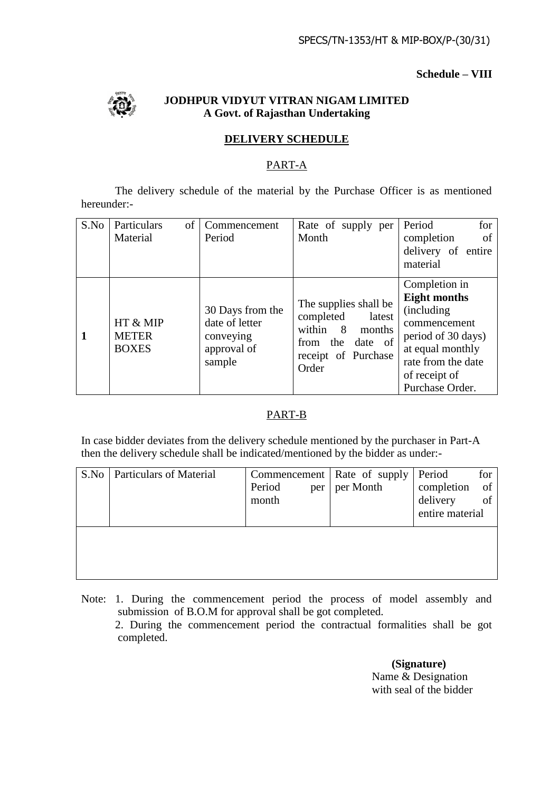## **Schedule – VIII**



# **JODHPUR VIDYUT VITRAN NIGAM LIMITED A Govt. of Rajasthan Undertaking**

# **DELIVERY SCHEDULE**

# PART-A

The delivery schedule of the material by the Purchase Officer is as mentioned hereunder:-

| S.No | Particulars<br>of                        | Commencement                                         | Rate of supply per                                                     | Period<br>for               |
|------|------------------------------------------|------------------------------------------------------|------------------------------------------------------------------------|-----------------------------|
|      | Material                                 | Period                                               | Month                                                                  | <sub>of</sub><br>completion |
|      |                                          |                                                      |                                                                        | delivery of entire          |
|      |                                          |                                                      |                                                                        | material                    |
|      |                                          |                                                      |                                                                        | Completion in               |
|      |                                          |                                                      | The supplies shall be                                                  | <b>Eight months</b>         |
|      |                                          | 30 Days from the                                     | completed<br>latest                                                    | (including)                 |
|      | HT & MIP<br><b>METER</b><br><b>BOXES</b> | date of letter<br>conveying<br>approval of<br>sample | within 8<br>months<br>from the date of<br>receipt of Purchase<br>Order | commencement                |
|      |                                          |                                                      |                                                                        | period of 30 days)          |
|      |                                          |                                                      |                                                                        | at equal monthly            |
|      |                                          |                                                      |                                                                        | rate from the date          |
|      |                                          |                                                      |                                                                        | of receipt of               |
|      |                                          |                                                      |                                                                        | Purchase Order.             |

# PART-B

In case bidder deviates from the delivery schedule mentioned by the purchaser in Part-A then the delivery schedule shall be indicated/mentioned by the bidder as under:-

| S.No | <b>Particulars of Material</b> | Period<br>per<br>month | Commencement   Rate of supply<br>per Month | Period<br>completion<br>delivery<br>entire material | for<br>of<br>of |
|------|--------------------------------|------------------------|--------------------------------------------|-----------------------------------------------------|-----------------|
|      |                                |                        |                                            |                                                     |                 |

Note: 1. During the commencement period the process of model assembly and submission of B.O.M for approval shall be got completed. 2. During the commencement period the contractual formalities shall be got completed.